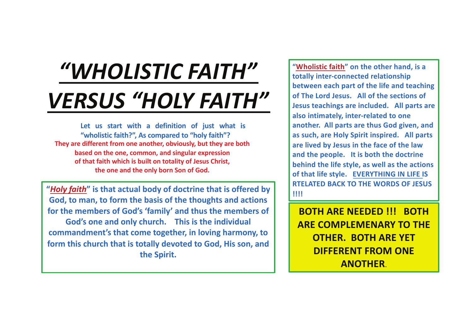# *"WHOLISTIC FAITH" VERSUS "HOLY FAITH"*

**Let us start with a definition of just what is "wholistic faith?", As compared to "holy faith"? They are different from one another, obviously, but they are both based on the one, common, and singular expression of that faith which is built on totality of Jesus Christ, the one and the only born Son of God.** 

**"***Holy faith***" is that actual body of doctrine that is offered by God, to man, to form the basis of the thoughts and actions for the members of God's 'family' and thus the members of God's one and only church. This is the individual commandment's that come together, in loving harmony, to form this church that is totally devoted to God, His son, and the Spirit.**

**"Wholistic faith" on the other hand, is a totally inter-connected relationship between each part of the life and teaching of The Lord Jesus. All of the sections of Jesus teachings are included. All parts are also intimately, inter-related to one another. All parts are thus God given, and as such, are Holy Spirit inspired. All parts are lived by Jesus in the face of the law and the people. It is both the doctrine behind the life style, as well as the actions of that life style. EVERYTHING IN LIFE IS RTELATED BACK TO THE WORDS OF JESUS !!!!**

**BOTH ARE NEEDED !!! BOTH ARE COMPLEMENARY TO THE OTHER. BOTH ARE YET DIFFERENT FROM ONE ANOTHER**.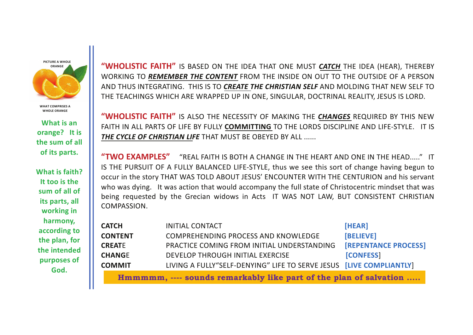**PICTURE A WHOLE ORANGE**

**WHAT COMPRISES A WHOLE ORANGE**

**What is an orange? It is the sum of all of its parts.**

**What is faith? It too is the sum of all of its parts, all working in harmony, according to the plan, for the intended purposes of God.**

**"WHOLISTIC FAITH"** IS BASED ON THE IDEA THAT ONE MUST *CATCH* THE IDEA (HEAR), THEREBY WORKING TO *REMEMBER THE CONTENT* FROM THE INSIDE ON OUT TO THE OUTSIDE OF A PERSON AND THUS INTEGRATING. THIS IS TO *CREATE THE CHRISTIAN SELF* AND MOLDING THAT NEW SELF TO THE TEACHINGS WHICH ARE WRAPPED UP IN ONE, SINGULAR, DOCTRINAL REALITY, JESUS IS LORD.

**"WHOLISTIC FAITH"** IS ALSO THE NECESSITY OF MAKING THE *CHANGES* REQUIRED BY THIS NEW FAITH IN ALL PARTS OF LIFE BY FULLY **COMMITTING** TO THE LORDS DISCIPLINE AND LIFE-STYLE. IT IS *THE CYCLE OF CHRISTIAN LIFE* THAT MUST BE OBEYED BY ALL ......

**"TWO EXAMPLES"** "REAL FAITH IS BOTH A CHANGE IN THE HEART AND ONE IN THE HEAD....." IT IS THE PURSUIT OF A FULLY BALANCED LIFE-STYLE, thus we see this sort of change having begun to occur in the story THAT WAS TOLD ABOUT JESUS' ENCOUNTER WITH THE CENTURION and his servant who was dying. It was action that would accompany the full state of Christocentric mindset that was being requested by the Grecian widows in Acts IT WAS NOT LAW, BUT CONSISTENT CHRISTIAN COMPASSION.

| <b>CATCH</b>   | <b>INITIAL CONTACT</b>                                              | [HEAR]                      |
|----------------|---------------------------------------------------------------------|-----------------------------|
| <b>CONTENT</b> | <b>COMPREHENDING PROCESS AND KNOWLEDGE</b>                          | [BELIEVE]                   |
| <b>CREATE</b>  | PRACTICE COMING FROM INITIAL UNDERSTANDING                          | <b>[REPENTANCE PROCESS]</b> |
| <b>CHANGE</b>  | DEVELOP THROUGH INITIAL EXERCISE                                    | <b>[CONFESS]</b>            |
| <b>COMMIT</b>  | LIVING A FULLY"SELF-DENYING" LIFE TO SERVE JESUS [LIVE COMPLIANTLY] |                             |
|                |                                                                     |                             |

**Hmmmmm, ---- sounds remarkably like part of the plan of salvation .....**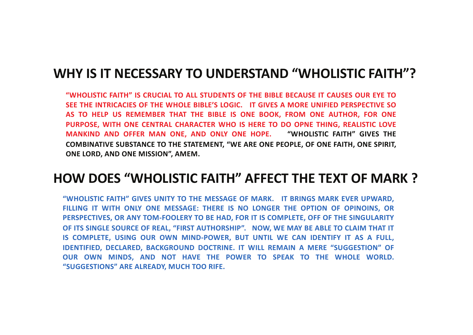## **WHY IS IT NECESSARY TO UNDERSTAND "WHOLISTIC FAITH"?**

**"WHOLISTIC FAITH" IS CRUCIAL TO ALL STUDENTS OF THE BIBLE BECAUSE IT CAUSES OUR EYE TO SEE THE INTRICACIES OF THE WHOLE BIBLE'S LOGIC. IT GIVES A MORE UNIFIED PERSPECTIVE SO AS TO HELP US REMEMBER THAT THE BIBLE IS ONE BOOK, FROM ONE AUTHOR, FOR ONE PURPOSE, WITH ONE CENTRAL CHARACTER WHO IS HERE TO DO OPNE THING, REALISTIC LOVE MANKIND AND OFFER MAN ONE, AND ONLY ONE HOPE. "WHOLISTIC FAITH" GIVES THE COMBINATIVE SUBSTANCE TO THE STATEMENT, "WE ARE ONE PEOPLE, OF ONE FAITH, ONE SPIRIT, ONE LORD, AND ONE MISSION", AMEM.**

# **HOW DOES "WHOLISTIC FAITH" AFFECT THE TEXT OF MARK ?**

**"WHOLISTIC FAITH" GIVES UNITY TO THE MESSAGE OF MARK. IT BRINGS MARK EVER UPWARD, FILLING IT WITH ONLY ONE MESSAGE: THERE IS NO LONGER THE OPTION OF OPINOINS, OR PERSPECTIVES, OR ANY TOM-FOOLERY TO BE HAD, FOR IT IS COMPLETE, OFF OF THE SINGULARITY OF ITS SINGLE SOURCE OF REAL, "FIRST AUTHORSHIP". NOW, WE MAY BE ABLE TO CLAIM THAT IT IS COMPLETE, USING OUR OWN MIND-POWER, BUT UNTIL WE CAN IDENTIFY IT AS A FULL, IDENTIFIED, DECLARED, BACKGROUND DOCTRINE. IT WILL REMAIN A MERE "SUGGESTION" OF OUR OWN MINDS, AND NOT HAVE THE POWER TO SPEAK TO THE WHOLE WORLD. "SUGGESTIONS" ARE ALREADY, MUCH TOO RIFE.**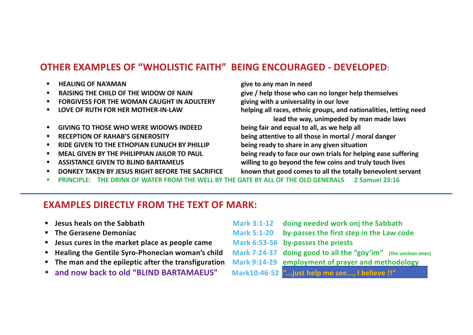#### **OTHER EXAMPLES OF "WHOLISTIC FAITH" BEING ENCOURAGED - DEVELOPED**:

- § **HEALING OF NA'AMAN give to any man in need**
- 
- § **FORGIVESS FOR THE WOMAN CAUGHT IN ADULTERY giving with a universality in our love**
- 
- § **GIVING TO THOSE WHO WERE WIDOWS INDEED being fair and equal to all, as we help all**
- 
- § **RIDE GIVEN TO THE ETHOPIAN EUNUCH BY PHILLIP being ready to share in any given situation**
- 
- 
- 

§ **RAISING THE CHILD OF THE WIDOW OF NAIN give / help those who can no longer help themselves** § **LOVE OF RUTH FOR HER MOTHER-IN-LAW helping all races, ethnic groups, and nationalities, letting need lead the way, unimpeded by man made laws** § **RECEPTION OF RAHAB'S GENEROSITY being attentive to all those in mortal / moral danger** § **MEAL GIVEN BY THE PHILIPPIAN JAILOR TO PAUL being ready to face our own trials for helping ease suffering** § **ASSISTANCE GIVEN TO BLIND BARTAMEUS willing to go beyond the few coins and truly touch lives** § **DONKEY TAKEN BY JESUS RIGHT BEFORE THE SACRIFICE known that good comes to all the totally benevolent servant**  § **PRINCIPLE: THE DRINK OF WATER FROM THE WELL BY THE GATE BY ALL OF THE OLD GENERALS 2 Samuel 23:16**

#### **EXAMPLES DIRECTLY FROM THE TEXT OF MARK:**

- 
- 
- § **Jesus cures in the market place as people came Mark 6:53-56 by-passes the priests**
- 
- 
- 
- § **Jesus heals on the Sabbath Mark 3:1-12 doing needed work onj the Sabbath** § **The Gerasene Demoniac Mark 5:1-20 by-passes the first step in the Law code** § **Healing the Gentile Syro-Phonecian woman's child Mark 7:24-37 doing good to all the "goy'im" [the unclean ones]** § **The man and the epileptic after the transfiguration Mark 9:14-29 employment of prayer and methodology** § **and now back to old "BLIND BARTAMAEUS" Mark10:46-52 "...just help me see..., I believe !!"**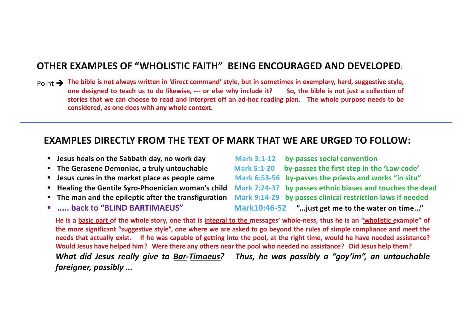#### **OTHER EXAMPLES OF "WHOLISTIC FAITH" BEING ENCOURAGED AND DEVELOPED**:

 $Point \rightarrow$  The bible is not always written in 'direct command' style, but in sometimes in exemplary, hard, suggestive style, one designed to teach us to do likewise, --- or else why include it? So, the bible is not just a collection of stories that we can choose to read and interpret off an ad-hoc reading plan. The whole purpose needs to be **considered, as one does with any whole context.**

#### **EXAMPLES DIRECTLY FROM THE TEXT OF MARK THAT WE ARE URGED TO FOLLOW:**

- **Jesus heals on the Sabbath day, no work day**
- **The Gerasene Demoniac, a truly untouchable 5:20 By-**
- **E** Jesus cures in the market place as people came
- **Healing the Gentile Syro-Phoenician woman's child Healing the Gentile Syro-Phoenician woman's child**
- **The man and the epileptic after the transfiguration**
- **East India as in the STARTIMAEUS"** matrices back to "BLIND BARTIMAEUS"

| <b>Mark 3:1-12</b> | by-passes social convention                                |
|--------------------|------------------------------------------------------------|
| <b>Mark 5:1-20</b> | by-passes the first step in the 'Law code'                 |
|                    | Mark 6:53-56 by-passes the priests and works "in situ"     |
|                    | Mark 7:24-37 by passes ethnic biases and touches the dead  |
|                    | Mark 9:14-29 by passes clinical restriction laws if needed |
|                    | Mark10:46-52 " just get me to the water on time"           |

He is a basic part of the whole story, one that is integral to the messages' whole-ness, thus he is an "wholistic example" of the more significant "suggestive style", one where we are asked to go beyond the rules of simple compliance and meet the needs that actually exist. If he was capable of getting into the pool, at the right time, would he have needed assistance? Would Jesus have helped him? Were there any others near the pool who needed no assistance? Did Jesus help them? *What did Jesus really give to Bar-Timaeus? Thus, he was possibly a "goy'im", an untouchable foreigner, possibly ...*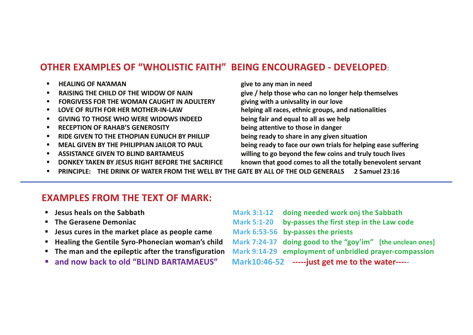#### **OTHER EXAMPLES OF "WHOLISTIC FAITH" BEING ENCOURAGED - DEVELOPED**:

- § **HEALING OF NA'AMAN give to any man in need** 
	- § **FORGIVESS FOR THE WOMAN CAUGHT IN ADULTERY giving with a univsality in our love**
	-
	- § **GIVING TO THOSE WHO WERE WIDOWS INDEED being fair and equal to all as we help**
	- § **RECEPTION OF RAHAB'S GENEROSITY being attentive to those in danger**
	- § **RIDE GIVEN TO THE ETHOPIAN EUNUCH BY PHILLIP being ready to share in any given situation**
	-
	-
	-

§ **RAISING THE CHILD OF THE WIDOW OF NAIN give / help those who can no longer help themselves**

§ **LOVE OF RUTH FOR HER MOTHER-IN-LAW helping all races, ethnic groups, and nationalities**

§ **MEAL GIVEN BY THE PHILIPPIAN JAILOR TO PAUL being ready to face our own trials for helping ease suffering**

§ **ASSISTANCE GIVEN TO BLIND BARTAMEUS willing to go beyond the few coins and truly touch lives**

§ **DONKEY TAKEN BY JESUS RIGHT BEFORE THE SACRIFICE known that good comes to all the totally benevolent servant** 

§ **PRINCIPLE: THE DRINK OF WATER FROM THE WELL BY THE GATE BY ALL OF THE OLD GENERALS 2 Samuel 23:16**

#### **EXAMPLES FROM THE TEXT OF MARK:**

- § **Jesus heals on the Sabbath Mark 3:1-12 doing needed work onj the Sabbath**
- **E** The Gerasene Demoniac
- **E** Jesus cures in the market place as people came
- **E** Healing the Gentile Syro-Phonecian woman's child
- **The man and the epileptic after the transfiguration**
- **E** and now back to old "BLIND BARTAMAFUS"

| <b>Mark 3:1-12</b>                              | doing needed work onj the Sabbath                          |  |
|-------------------------------------------------|------------------------------------------------------------|--|
| <b>Mark 5:1-20</b>                              | by-passes the first step in the Law code                   |  |
|                                                 | Mark 6:53-56 by-passes the priests                         |  |
|                                                 | Mark 7:24-37 doing good to the "goy'im" [the unclean ones] |  |
|                                                 | Mark 9:14-29 employment of unbridled prayer-compassion     |  |
| Mark10:46-52 -----just get me to the water----- |                                                            |  |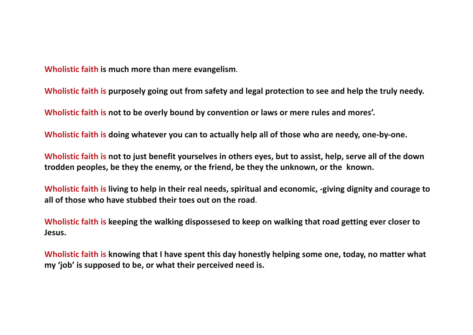**Wholistic faith is much more than mere evangelism**.

**Wholistic faith is purposely going out from safety and legal protection to see and help the truly needy.** 

**Wholistic faith is not to be overly bound by convention or laws or mere rules and mores'.**

**Wholistic faith is doing whatever you can to actually help all of those who are needy, one-by-one.**

**Wholistic faith is not to just benefit yourselves in others eyes, but to assist, help, serve all of the down trodden peoples, be they the enemy, or the friend, be they the unknown, or the known.** 

**Wholistic faith is living to help in their real needs, spiritual and economic, -giving dignity and courage to all of those who have stubbed their toes out on the road**.

**Wholistic faith is keeping the walking dispossesed to keep on walking that road getting ever closer to Jesus.**

**Wholistic faith is knowing that I have spent this day honestly helping some one, today, no matter what my 'job' is supposed to be, or what their perceived need is.**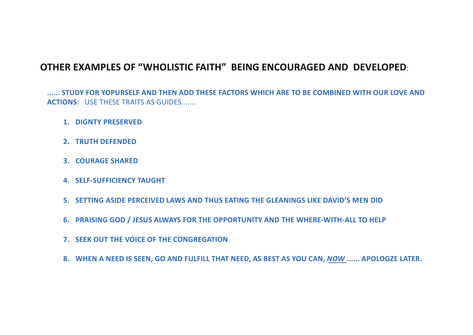#### **OTHER EXAMPLES OF "WHOLISTIC FAITH" BEING ENCOURAGED AND DEVELOPED**:

**...... STUDY FOR YOPURSELF AND THEN ADD THESE FACTORS WHICH ARE TO BE COMBINED WITH OUR LOVE AND ACTIONS**: USE THESE TRAITS AS GUIDES.......

- **1. DIGNTY PRESERVED**
- **2. TRUTH DEFENDED**
- **3. COURAGE SHARED**
- **4. SELF-SUFFICIENCY TAUGHT**
- **5. SETTING ASIDE PERCEIVED LAWS AND THUS EATING THE GLEANINGS LIKE DAVID'S MEN DID**
- **6. PRAISING GOD / JESUS ALWAYS FOR THE OPPORTUNITY AND THE WHERE-WITH-ALL TO HELP**
- **7. SEEK OUT THE VOICE OF THE CONGREGATION**
- **8. WHEN A NEED IS SEEN, GO AND FULFILL THAT NEED, AS BEST AS YOU CAN,** *NOW* **...... APOLOGZE LATER.**